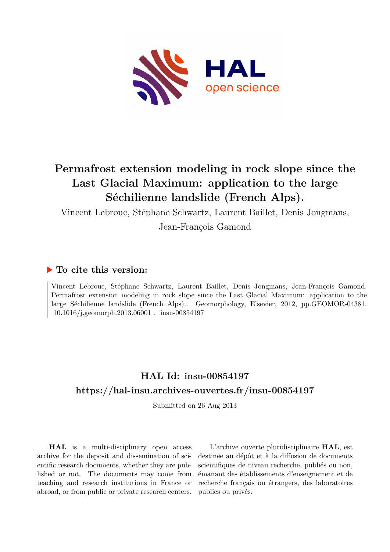

# **Permafrost extension modeling in rock slope since the Last Glacial Maximum: application to the large Séchilienne landslide (French Alps).**

Vincent Lebrouc, Stéphane Schwartz, Laurent Baillet, Denis Jongmans,

Jean-François Gamond

## **To cite this version:**

Vincent Lebrouc, Stéphane Schwartz, Laurent Baillet, Denis Jongmans, Jean-François Gamond. Permafrost extension modeling in rock slope since the Last Glacial Maximum: application to the large Séchilienne landslide (French Alps).. Geomorphology, Elsevier, 2012, pp.GEOMOR-04381.  $10.1016/i$ .geomorph.2013.06001 . insu-00854197

## **HAL Id: insu-00854197 <https://hal-insu.archives-ouvertes.fr/insu-00854197>**

Submitted on 26 Aug 2013

**HAL** is a multi-disciplinary open access archive for the deposit and dissemination of scientific research documents, whether they are published or not. The documents may come from teaching and research institutions in France or abroad, or from public or private research centers.

L'archive ouverte pluridisciplinaire **HAL**, est destinée au dépôt et à la diffusion de documents scientifiques de niveau recherche, publiés ou non, émanant des établissements d'enseignement et de recherche français ou étrangers, des laboratoires publics ou privés.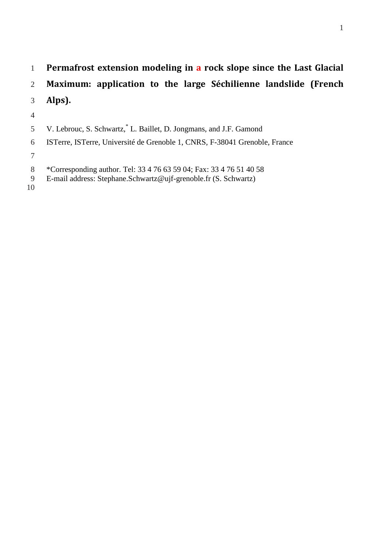- **Permafrost extension modeling in a rock slope since the Last Glacial**
- **Maximum: application to the large Séchilienne landslide (French**
- **Alps).**
- 
- 5 V. Lebrouc, S. Schwartz, L. Baillet, D. Jongmans, and J.F. Gamond
- ISTerre, ISTerre, Université de Grenoble 1, CNRS, F-38041 Grenoble, France
- 
- 8 \*Corresponding author. Tel: 33 4 76 63 59 04; Fax: 33 4 76 51 40 58<br>
9 E-mail address: Stephane. Schwartz@ujf-grenoble.fr (S. Schwartz)
- E-mail address: Stephane.Schwartz@ujf-grenoble.fr (S. Schwartz)
-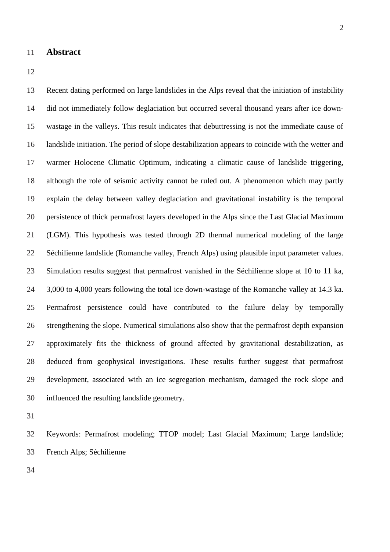#### **Abstract**

 Recent dating performed on large landslides in the Alps reveal that the initiation of instability did not immediately follow deglaciation but occurred several thousand years after ice down- wastage in the valleys. This result indicates that debuttressing is not the immediate cause of landslide initiation. The period of slope destabilization appears to coincide with the wetter and warmer Holocene Climatic Optimum, indicating a climatic cause of landslide triggering, although the role of seismic activity cannot be ruled out. A phenomenon which may partly explain the delay between valley deglaciation and gravitational instability is the temporal persistence of thick permafrost layers developed in the Alps since the Last Glacial Maximum (LGM). This hypothesis was tested through 2D thermal numerical modeling of the large Séchilienne landslide (Romanche valley, French Alps) using plausible input parameter values. Simulation results suggest that permafrost vanished in the Séchilienne slope at 10 to 11 ka, 3,000 to 4,000 years following the total ice down-wastage of the Romanche valley at 14.3 ka. Permafrost persistence could have contributed to the failure delay by temporally strengthening the slope. Numerical simulations also show that the permafrost depth expansion approximately fits the thickness of ground affected by gravitational destabilization, as deduced from geophysical investigations. These results further suggest that permafrost development, associated with an ice segregation mechanism, damaged the rock slope and influenced the resulting landslide geometry.

 Keywords: Permafrost modeling; TTOP model; Last Glacial Maximum; Large landslide; French Alps; Séchilienne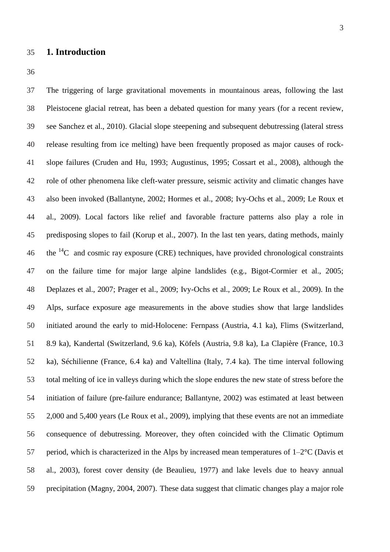## **1. Introduction**

 The triggering of large gravitational movements in mountainous areas, following the last Pleistocene glacial retreat, has been a debated question for many years (for a recent review, see Sanchez et al., 2010). Glacial slope steepening and subsequent debutressing (lateral stress release resulting from ice melting) have been frequently proposed as major causes of rock- slope failures (Cruden and Hu, 1993; Augustinus, 1995; Cossart et al., 2008), although the role of other phenomena like cleft-water pressure, seismic activity and climatic changes have also been invoked (Ballantyne, 2002; Hormes et al., 2008; Ivy-Ochs et al., 2009; Le Roux et al., 2009). Local factors like relief and favorable fracture patterns also play a role in predisposing slopes to fail (Korup et al., 2007). In the last ten years, dating methods, mainly 46 the  ${}^{14}C$  and cosmic ray exposure (CRE) techniques, have provided chronological constraints on the failure time for major large alpine landslides (e.g., Bigot-Cormier et al., 2005; Deplazes et al., 2007; Prager et al., 2009; Ivy-Ochs et al., 2009; Le Roux et al., 2009). In the Alps, surface exposure age measurements in the above studies show that large landslides initiated around the early to mid-Holocene: Fernpass (Austria, 4.1 ka), Flims (Switzerland, 8.9 ka), Kandertal (Switzerland, 9.6 ka), Köfels (Austria, 9.8 ka), La Clapière (France, 10.3 ka), Séchilienne (France, 6.4 ka) and Valtellina (Italy, 7.4 ka). The time interval following total melting of ice in valleys during which the slope endures the new state of stress before the initiation of failure (pre-failure endurance; Ballantyne, 2002) was estimated at least between 2,000 and 5,400 years (Le Roux et al., 2009), implying that these events are not an immediate consequence of debutressing. Moreover, they often coincided with the Climatic Optimum 57 period, which is characterized in the Alps by increased mean temperatures of  $1-2^{\circ}C$  (Davis et al., 2003), forest cover density (de Beaulieu, 1977) and lake levels due to heavy annual precipitation (Magny, 2004, 2007). These data suggest that climatic changes play a major role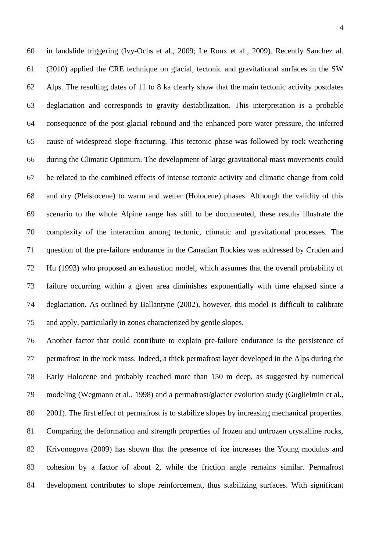in landslide triggering (Ivy-Ochs et al., 2009; Le Roux et al., 2009). Recently Sanchez al. (2010) applied the CRE technique on glacial, tectonic and gravitational surfaces in the SW Alps. The resulting dates of 11 to 8 ka clearly show that the main tectonic activity postdates deglaciation and corresponds to gravity destabilization. This interpretation is a probable consequence of the post-glacial rebound and the enhanced pore water pressure, the inferred cause of widespread slope fracturing. This tectonic phase was followed by rock weathering during the Climatic Optimum. The development of large gravitational mass movements could be related to the combined effects of intense tectonic activity and climatic change from cold and dry (Pleistocene) to warm and wetter (Holocene) phases. Although the validity of this scenario to the whole Alpine range has still to be documented, these results illustrate the complexity of the interaction among tectonic, climatic and gravitational processes. The question of the pre-failure endurance in the Canadian Rockies was addressed by Cruden and Hu (1993) who proposed an exhaustion model, which assumes that the overall probability of failure occurring within a given area diminishes exponentially with time elapsed since a deglaciation. As outlined by Ballantyne (2002), however, this model is difficult to calibrate and apply, particularly in zones characterized by gentle slopes.

 Another factor that could contribute to explain pre-failure endurance is the persistence of permafrost in the rock mass. Indeed, a thick permafrost layer developed in the Alps during the Early Holocene and probably reached more than 150 m deep, as suggested by numerical modeling (Wegmann et al., 1998) and a permafrost/glacier evolution study (Guglielmin et al., 2001). The first effect of permafrost is to stabilize slopes by increasing mechanical properties. Comparing the deformation and strength properties of frozen and unfrozen crystalline rocks, Krivonogova (2009) has shown that the presence of ice increases the Young modulus and cohesion by a factor of about 2, while the friction angle remains similar. Permafrost development contributes to slope reinforcement, thus stabilizing surfaces. With significant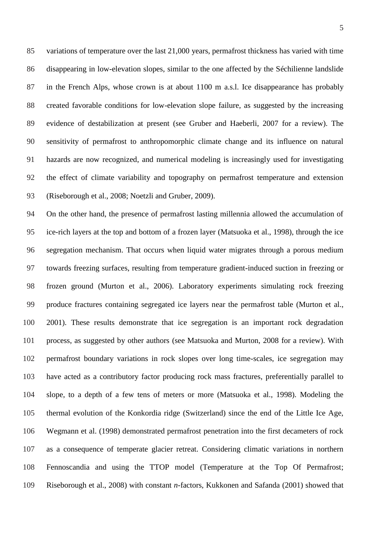variations of temperature over the last 21,000 years, permafrost thickness has varied with time disappearing in low-elevation slopes, similar to the one affected by the Séchilienne landslide in the French Alps, whose crown is at about 1100 m a.s.l. Ice disappearance has probably created favorable conditions for low-elevation slope failure, as suggested by the increasing evidence of destabilization at present (see Gruber and Haeberli, 2007 for a review). The sensitivity of permafrost to anthropomorphic climate change and its influence on natural hazards are now recognized, and numerical modeling is increasingly used for investigating the effect of climate variability and topography on permafrost temperature and extension (Riseborough et al., 2008; Noetzli and Gruber, 2009).

 On the other hand, the presence of permafrost lasting millennia allowed the accumulation of ice-rich layers at the top and bottom of a frozen layer (Matsuoka et al., 1998), through the ice segregation mechanism. That occurs when liquid water migrates through a porous medium towards freezing surfaces, resulting from temperature gradient-induced suction in freezing or frozen ground (Murton et al., 2006). Laboratory experiments simulating rock freezing produce fractures containing segregated ice layers near the permafrost table (Murton et al., 2001). These results demonstrate that ice segregation is an important rock degradation process, as suggested by other authors (see Matsuoka and Murton, 2008 for a review). With permafrost boundary variations in rock slopes over long time-scales, ice segregation may have acted as a contributory factor producing rock mass fractures, preferentially parallel to slope, to a depth of a few tens of meters or more (Matsuoka et al., 1998). Modeling the thermal evolution of the Konkordia ridge (Switzerland) since the end of the Little Ice Age, Wegmann et al. (1998) demonstrated permafrost penetration into the first decameters of rock as a consequence of temperate glacier retreat. Considering climatic variations in northern Fennoscandia and using the TTOP model (Temperature at the Top Of Permafrost; Riseborough et al., 2008) with constant *n*-factors, Kukkonen and Safanda (2001) showed that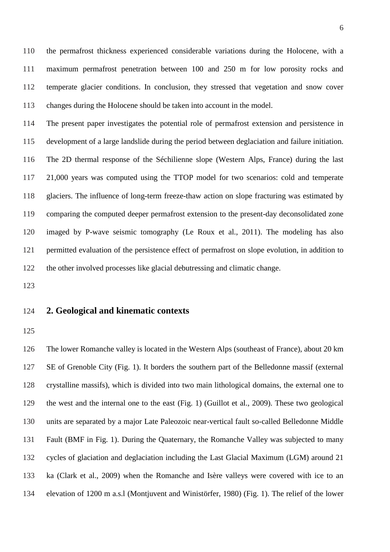the permafrost thickness experienced considerable variations during the Holocene, with a maximum permafrost penetration between 100 and 250 m for low porosity rocks and temperate glacier conditions. In conclusion, they stressed that vegetation and snow cover changes during the Holocene should be taken into account in the model.

 The present paper investigates the potential role of permafrost extension and persistence in development of a large landslide during the period between deglaciation and failure initiation. The 2D thermal response of the Séchilienne slope (Western Alps, France) during the last 21,000 years was computed using the TTOP model for two scenarios: cold and temperate glaciers. The influence of long-term freeze-thaw action on slope fracturing was estimated by comparing the computed deeper permafrost extension to the present-day deconsolidated zone imaged by P-wave seismic tomography (Le Roux et al., 2011). The modeling has also permitted evaluation of the persistence effect of permafrost on slope evolution, in addition to the other involved processes like glacial debutressing and climatic change.

## **2. Geological and kinematic contexts**

 The lower Romanche valley is located in the Western Alps (southeast of France), about 20 km SE of Grenoble City (Fig. 1). It borders the southern part of the Belledonne massif (external crystalline massifs), which is divided into two main lithological domains, the external one to the west and the internal one to the east (Fig. 1) (Guillot et al., 2009). These two geological units are separated by a major Late Paleozoic near-vertical fault so-called Belledonne Middle Fault (BMF in Fig. 1). During the Quaternary, the Romanche Valley was subjected to many cycles of glaciation and deglaciation including the Last Glacial Maximum (LGM) around 21 ka (Clark et al., 2009) when the Romanche and Isère valleys were covered with ice to an elevation of 1200 m a.s.l (Montjuvent and Winistörfer, 1980) (Fig. 1). The relief of the lower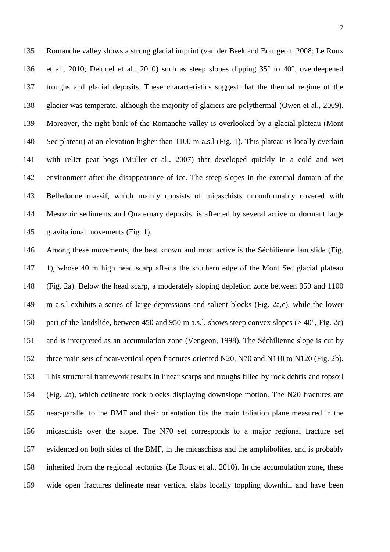Romanche valley shows a strong glacial imprint (van der Beek and Bourgeon, 2008; Le Roux et al., 2010; Delunel et al., 2010) such as steep slopes dipping 35° to 40°, overdeepened troughs and glacial deposits. These characteristics suggest that the thermal regime of the glacier was temperate, although the majority of glaciers are polythermal (Owen et al., 2009). Moreover, the right bank of the Romanche valley is overlooked by a glacial plateau (Mont Sec plateau) at an elevation higher than 1100 m a.s.l (Fig. 1). This plateau is locally overlain with relict peat bogs (Muller et al., 2007) that developed quickly in a cold and wet environment after the disappearance of ice. The steep slopes in the external domain of the Belledonne massif, which mainly consists of micaschists unconformably covered with Mesozoic sediments and Quaternary deposits, is affected by several active or dormant large gravitational movements (Fig. 1).

 Among these movements, the best known and most active is the Séchilienne landslide (Fig. 1), whose 40 m high head scarp affects the southern edge of the Mont Sec glacial plateau (Fig. 2a). Below the head scarp, a moderately sloping depletion zone between 950 and 1100 m a.s.l exhibits a series of large depressions and salient blocks (Fig. 2a,c), while the lower 150 part of the landslide, between 450 and 950 m a.s.l, shows steep convex slopes ( $> 40^{\circ}$ , Fig. 2c) and is interpreted as an accumulation zone (Vengeon, 1998). The Séchilienne slope is cut by three main sets of near-vertical open fractures oriented N20, N70 and N110 to N120 (Fig. 2b). This structural framework results in linear scarps and troughs filled by rock debris and topsoil (Fig. 2a), which delineate rock blocks displaying downslope motion. The N20 fractures are near-parallel to the BMF and their orientation fits the main foliation plane measured in the micaschists over the slope. The N70 set corresponds to a major regional fracture set evidenced on both sides of the BMF, in the micaschists and the amphibolites, and is probably inherited from the regional tectonics (Le Roux et al., 2010). In the accumulation zone, these wide open fractures delineate near vertical slabs locally toppling downhill and have been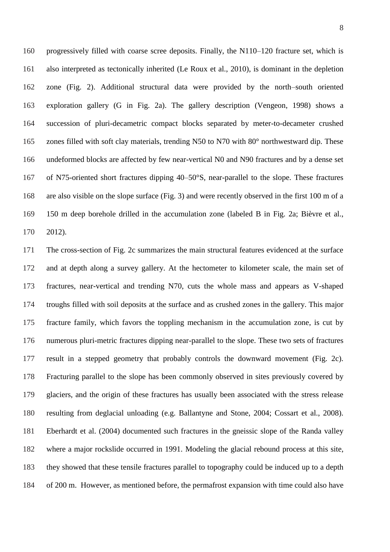progressively filled with coarse scree deposits. Finally, the N110–120 fracture set, which is also interpreted as tectonically inherited (Le Roux et al., 2010), is dominant in the depletion zone (Fig. 2). Additional structural data were provided by the north–south oriented exploration gallery (G in Fig. 2a). The gallery description (Vengeon, 1998) shows a succession of pluri-decametric compact blocks separated by meter-to-decameter crushed zones filled with soft clay materials, trending N50 to N70 with 80° northwestward dip. These undeformed blocks are affected by few near-vertical N0 and N90 fractures and by a dense set of N75-oriented short fractures dipping 40–50°S, near-parallel to the slope. These fractures are also visible on the slope surface (Fig. 3) and were recently observed in the first 100 m of a 150 m deep borehole drilled in the accumulation zone (labeled B in Fig. 2a; Bièvre et al., 2012).

 The cross-section of Fig. 2c summarizes the main structural features evidenced at the surface and at depth along a survey gallery. At the hectometer to kilometer scale, the main set of fractures, near-vertical and trending N70, cuts the whole mass and appears as V-shaped troughs filled with soil deposits at the surface and as crushed zones in the gallery. This major fracture family, which favors the toppling mechanism in the accumulation zone, is cut by numerous pluri-metric fractures dipping near-parallel to the slope. These two sets of fractures result in a stepped geometry that probably controls the downward movement (Fig. 2c). Fracturing parallel to the slope has been commonly observed in sites previously covered by glaciers, and the origin of these fractures has usually been associated with the stress release resulting from deglacial unloading (e.g. Ballantyne and Stone, 2004; Cossart et al., 2008). Eberhardt et al. (2004) documented such fractures in the gneissic slope of the Randa valley where a major rockslide occurred in 1991. Modeling the glacial rebound process at this site, they showed that these tensile fractures parallel to topography could be induced up to a depth of 200 m. However, as mentioned before, the permafrost expansion with time could also have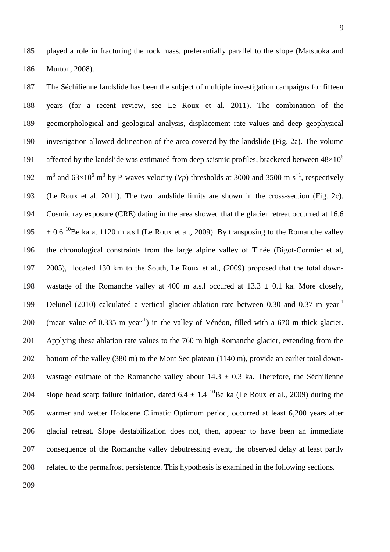played a role in fracturing the rock mass, preferentially parallel to the slope (Matsuoka and Murton, 2008).

 The Séchilienne landslide has been the subject of multiple investigation campaigns for fifteen years (for a recent review, see Le Roux et al. 2011). The combination of the geomorphological and geological analysis, displacement rate values and deep geophysical investigation allowed delineation of the area covered by the landslide (Fig. 2a). The volume affected by the landslide was estimated from deep seismic profiles, bracketed between  $48\times10^6$  192 m<sup>3</sup> and  $63\times10^6$  m<sup>3</sup> by P-waves velocity (*Vp*) thresholds at 3000 and 3500 m s<sup>-1</sup>, respectively (Le Roux et al. 2011). The two landslide limits are shown in the cross-section (Fig. 2c). Cosmic ray exposure (CRE) dating in the area showed that the glacier retreat occurred at 16.6  $195 \pm 0.6$  <sup>10</sup> Be ka at 1120 m a.s.l (Le Roux et al., 2009). By transposing to the Romanche valley the chronological constraints from the large alpine valley of Tinée (Bigot-Cormier et al, 2005), located 130 km to the South, Le Roux et al., (2009) proposed that the total down-198 wastage of the Romanche valley at 400 m a.s. loccured at  $13.3 \pm 0.1$  ka. More closely, 199 Delunel (2010) calculated a vertical glacier ablation rate between 0.30 and 0.37 m year<sup>-1</sup> 200 (mean value of 0.335 m year<sup>-1</sup>) in the valley of Vénéon, filled with a 670 m thick glacier. Applying these ablation rate values to the 760 m high Romanche glacier, extending from the bottom of the valley (380 m) to the Mont Sec plateau (1140 m), provide an earlier total down-203 wastage estimate of the Romanche valley about  $14.3 \pm 0.3$  ka. Therefore, the Séchilienne 204 slope head scarp failure initiation, dated  $6.4 \pm 1.4$  <sup>10</sup>Be ka (Le Roux et al., 2009) during the warmer and wetter Holocene Climatic Optimum period, occurred at least 6,200 years after glacial retreat. Slope destabilization does not, then, appear to have been an immediate consequence of the Romanche valley debutressing event, the observed delay at least partly related to the permafrost persistence. This hypothesis is examined in the following sections.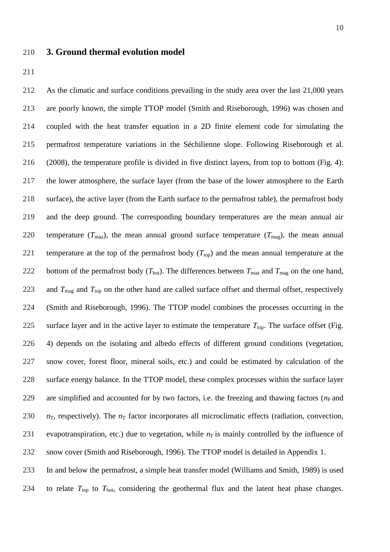#### **3. Ground thermal evolution model**

 As the climatic and surface conditions prevailing in the study area over the last 21,000 years are poorly known, the simple TTOP model (Smith and Riseborough, 1996) was chosen and coupled with the heat transfer equation in a 2D finite element code for simulating the permafrost temperature variations in the Séchilienne slope. Following Riseborough et al. (2008), the temperature profile is divided in five distinct layers, from top to bottom (Fig. 4): the lower atmosphere, the surface layer (from the base of the lower atmosphere to the Earth surface), the active layer (from the Earth surface to the permafrost table), the permafrost body and the deep ground. The corresponding boundary temperatures are the mean annual air 220 temperature  $(T_{\text{maa}})$ , the mean annual ground surface temperature  $(T_{\text{maa}})$ , the mean annual 221 temperature at the top of the permafrost body  $(T_{top})$  and the mean annual temperature at the 222 bottom of the permafrost body  $(T_{\text{bot}})$ . The differences between  $T_{\text{max}}$  and  $T_{\text{max}}$  on the one hand, 223 and  $T_{\text{mag}}$  and  $T_{\text{top}}$  on the other hand are called surface offset and thermal offset, respectively (Smith and Riseborough, 1996). The TTOP model combines the processes occurring in the 225 surface layer and in the active layer to estimate the temperature  $T_{top}$ . The surface offset (Fig. 4) depends on the isolating and albedo effects of different ground conditions (vegetation, snow cover, forest floor, mineral soils, etc.) and could be estimated by calculation of the surface energy balance. In the TTOP model, these complex processes within the surface layer 229 are simplified and accounted for by two factors, i.e. the freezing and thawing factors ( $n<sub>F</sub>$  and  $n<sub>T</sub>$ , respectively). The  $n<sub>T</sub>$  factor incorporates all microclimatic effects (radiation, convection, 231 evapotranspiration, etc.) due to vegetation, while  $n_F$  is mainly controlled by the influence of snow cover (Smith and Riseborough, 1996). The TTOP model is detailed in Appendix 1. In and below the permafrost, a simple heat transfer model (Williams and Smith, 1989) is used 234 to relate  $T_{top}$  to  $T_{bot}$ , considering the geothermal flux and the latent heat phase changes.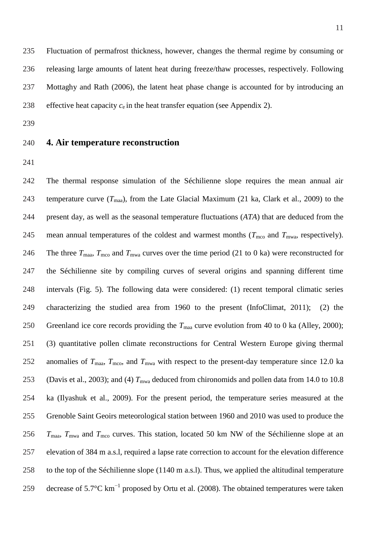Fluctuation of permafrost thickness, however, changes the thermal regime by consuming or releasing large amounts of latent heat during freeze/thaw processes, respectively. Following Mottaghy and Rath (2006), the latent heat phase change is accounted for by introducing an 238 effective heat capacity  $c_e$  in the heat transfer equation (see Appendix 2).

- **4. Air temperature reconstruction**
- 

 The thermal response simulation of the Séchilienne slope requires the mean annual air 243 temperature curve  $(T_{\text{maa}})$ , from the Late Glacial Maximum (21 ka, Clark et al., 2009) to the present day, as well as the seasonal temperature fluctuations (*ATA*) that are deduced from the 245 mean annual temperatures of the coldest and warmest months ( $T_{\text{mco}}$  and  $T_{\text{mwa}}$ , respectively). 246 The three  $T_{\text{maa}}$ ,  $T_{\text{mco}}$  and  $T_{\text{mwa}}$  curves over the time period (21 to 0 ka) were reconstructed for the Séchilienne site by compiling curves of several origins and spanning different time intervals (Fig. 5). The following data were considered: (1) recent temporal climatic series characterizing the studied area from 1960 to the present (InfoClimat, 2011); (2) the 250 Greenland ice core records providing the  $T_{\text{maa}}$  curve evolution from 40 to 0 ka (Alley, 2000); (3) quantitative pollen climate reconstructions for Central Western Europe giving thermal 252 anomalies of  $T_{\text{maa}}$ ,  $T_{\text{mco}}$ , and  $T_{\text{mwa}}$  with respect to the present-day temperature since 12.0 ka 253 (Davis et al., 2003); and (4)  $T_{\text{mwa}}$  deduced from chironomids and pollen data from 14.0 to 10.8 ka (Ilyashuk et al., 2009). For the present period, the temperature series measured at the Grenoble Saint Geoirs meteorological station between 1960 and 2010 was used to produce the  $T_{\text{max}}$ ,  $T_{\text{max}}$  and  $T_{\text{mco}}$  curves. This station, located 50 km NW of the Séchilienne slope at an elevation of 384 m a.s.l, required a lapse rate correction to account for the elevation difference to the top of the Séchilienne slope (1140 m a.s.l). Thus, we applied the altitudinal temperature 259 decrease of 5.7 $^{\circ}$ C km<sup>-1</sup> proposed by Ortu et al. (2008). The obtained temperatures were taken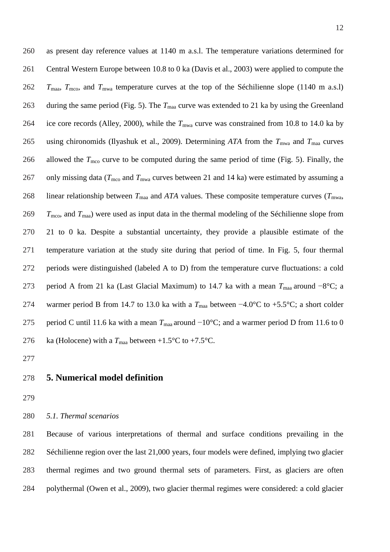as present day reference values at 1140 m a.s.l. The temperature variations determined for Central Western Europe between 10.8 to 0 ka (Davis et al., 2003) were applied to compute the *T*maa, *T*mco, and *T*mwa temperature curves at the top of the Séchilienne slope (1140 m a.s.l) 263 during the same period (Fig. 5). The  $T_{\text{maa}}$  curve was extended to 21 ka by using the Greenland 264 ice core records (Alley, 2000), while the  $T_{\text{mwa}}$  curve was constrained from 10.8 to 14.0 ka by 265 using chironomids (Ilyashuk et al., 2009). Determining ATA from the  $T_{\text{mwa}}$  and  $T_{\text{maa}}$  curves 266 allowed the  $T_{\text{mco}}$  curve to be computed during the same period of time (Fig. 5). Finally, the 267 only missing data ( $T_{\text{mco}}$  and  $T_{\text{mwa}}$  curves between 21 and 14 ka) were estimated by assuming a 268 linear relationship between  $T_{\text{maa}}$  and *ATA* values. These composite temperature curves ( $T_{\text{mwa}}$ , *T*mco, and *T*maa) were used as input data in the thermal modeling of the Séchilienne slope from 21 to 0 ka. Despite a substantial uncertainty, they provide a plausible estimate of the temperature variation at the study site during that period of time. In Fig. 5, four thermal periods were distinguished (labeled A to D) from the temperature curve fluctuations: a cold period A from 21 ka (Last Glacial Maximum) to 14.7 ka with a mean *T*maa around −8°C; a 274 warmer period B from 14.7 to 13.0 ka with a  $T_{\text{maa}}$  between −4.0°C to +5.5°C; a short colder 275 period C until 11.6 ka with a mean  $T_{\text{maa}}$  around −10°C; and a warmer period D from 11.6 to 0 276 ka (Holocene) with a  $T_{\text{maa}}$  between +1.5°C to +7.5°C.

- 
- **5. Numerical model definition**
- 
- *5.1. Thermal scenarios*

 Because of various interpretations of thermal and surface conditions prevailing in the Séchilienne region over the last 21,000 years, four models were defined, implying two glacier thermal regimes and two ground thermal sets of parameters. First, as glaciers are often polythermal (Owen et al., 2009), two glacier thermal regimes were considered: a cold glacier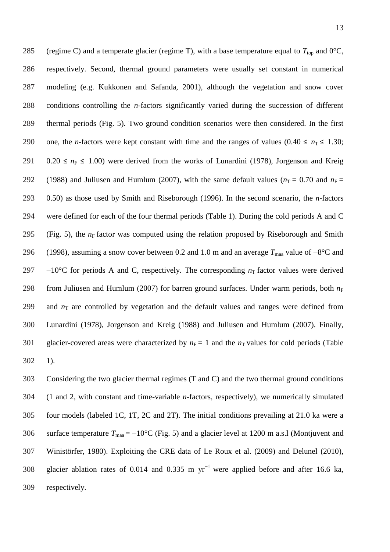285 (regime C) and a temperate glacier (regime T), with a base temperature equal to  $T_{top}$  and 0°C, 286 respectively. Second, thermal ground parameters were usually set constant in numerical 287 modeling (e.g. Kukkonen and Safanda, 2001), although the vegetation and snow cover 288 conditions controlling the *n*-factors significantly varied during the succession of different 289 thermal periods (Fig. 5). Two ground condition scenarios were then considered. In the first 290 one, the *n*-factors were kept constant with time and the ranges of values (0.40  $\le n<sub>T</sub> \le 1.30$ ; 291 0.20  $\le n_F \le 1.00$ ) were derived from the works of Lunardini (1978), Jorgenson and Kreig 292 (1988) and Juliusen and Humlum (2007), with the same default values ( $n_T = 0.70$  and  $n_F =$ 293 0.50) as those used by Smith and Riseborough (1996). In the second scenario, the *n*-factors 294 were defined for each of the four thermal periods (Table 1). During the cold periods A and C 295 (Fig. 5), the  $n_F$  factor was computed using the relation proposed by Riseborough and Smith 296 (1998), assuming a snow cover between 0.2 and 1.0 m and an average  $T_{\text{maa}}$  value of −8°C and 297  $-10^{\circ}$ C for periods A and C, respectively. The corresponding  $n<sub>T</sub>$  factor values were derived 298 from Juliusen and Humlum (2007) for barren ground surfaces. Under warm periods, both  $n_F$ 299 and  $n<sub>T</sub>$  are controlled by vegetation and the default values and ranges were defined from 300 Lunardini (1978), Jorgenson and Kreig (1988) and Juliusen and Humlum (2007). Finally, 301 glacier-covered areas were characterized by  $n_F = 1$  and the  $n_T$  values for cold periods (Table 302 1).

 Considering the two glacier thermal regimes (T and C) and the two thermal ground conditions (1 and 2, with constant and time-variable *n*-factors, respectively), we numerically simulated four models (labeled 1C, 1T, 2C and 2T). The initial conditions prevailing at 21.0 ka were a 306 surface temperature  $T_{\text{maa}} = -10^{\circ}\text{C}$  (Fig. 5) and a glacier level at 1200 m a.s.l (Montjuvent and Winistörfer, 1980). Exploiting the CRE data of Le Roux et al. (2009) and Delunel (2010), 308 glacier ablation rates of 0.014 and 0.335 m  $yr^{-1}$  were applied before and after 16.6 ka, respectively.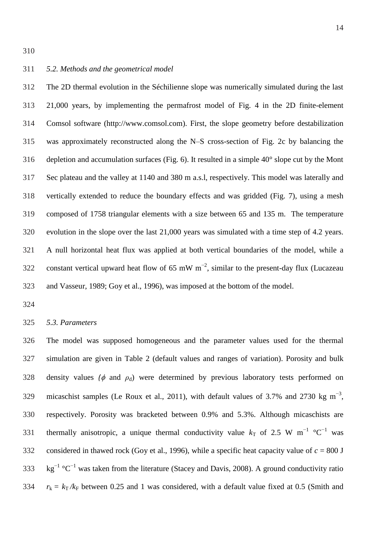The 2D thermal evolution in the Séchilienne slope was numerically simulated during the last 21,000 years, by implementing the permafrost model of Fig. 4 in the 2D finite-element Comsol software (http://www.comsol.com). First, the slope geometry before destabilization was approximately reconstructed along the N–S cross-section of Fig. 2c by balancing the 316 depletion and accumulation surfaces (Fig. 6). It resulted in a simple  $40^{\circ}$  slope cut by the Mont Sec plateau and the valley at 1140 and 380 m a.s.l, respectively. This model was laterally and vertically extended to reduce the boundary effects and was gridded (Fig. 7), using a mesh composed of 1758 triangular elements with a size between 65 and 135 m. The temperature evolution in the slope over the last 21,000 years was simulated with a time step of 4.2 years. A null horizontal heat flux was applied at both vertical boundaries of the model, while a 322 constant vertical upward heat flow of 65 mW  $m^{-2}$ , similar to the present-day flux (Lucazeau and Vasseur, 1989; Goy et al., 1996), was imposed at the bottom of the model.

#### *5.3. Parameters*

 The model was supposed homogeneous and the parameter values used for the thermal simulation are given in Table 2 (default values and ranges of variation). Porosity and bulk 328 density values  $(\phi$  and  $\rho_d$ ) were determined by previous laboratory tests performed on 329 micaschist samples (Le Roux et al., 2011), with default values of 3.7% and 2730 kg  $m^{-3}$ , respectively. Porosity was bracketed between 0.9% and 5.3%. Although micaschists are 331 thermally anisotropic, a unique thermal conductivity value  $k_T$  of 2.5 W m<sup>-1</sup> °C<sup>-1</sup> was 332 considered in thawed rock (Goy et al., 1996), while a specific heat capacity value of  $c = 800$  J  $\text{kg}^{-1} \text{ }^{\circ}\text{C}^{-1}$  was taken from the literature (Stacey and Davis, 2008). A ground conductivity ratio 334  $r_k = k_T / k_F$  between 0.25 and 1 was considered, with a default value fixed at 0.5 (Smith and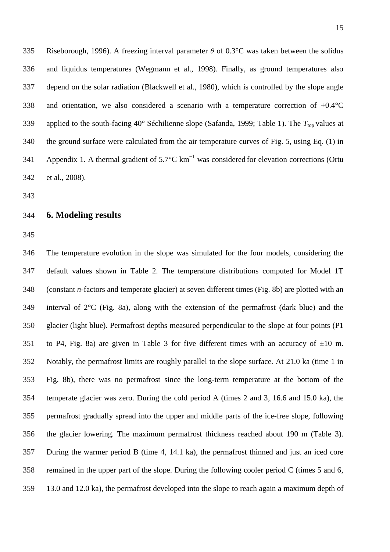Riseborough, 1996). A freezing interval parameter *θ* of 0.3°C was taken between the solidus and liquidus temperatures (Wegmann et al., 1998). Finally, as ground temperatures also depend on the solar radiation (Blackwell et al., 1980), which is controlled by the slope angle and orientation, we also considered a scenario with a temperature correction of +0.4°C 339 applied to the south-facing  $40^{\circ}$  Séchilienne slope (Safanda, 1999; Table 1). The  $T_{top}$  values at the ground surface were calculated from the air temperature curves of Fig. 5, using Eq. (1) in 341 Appendix 1. A thermal gradient of 5.7 $\mathrm{C \, km}^{-1}$  was considered for elevation corrections (Ortu et al., 2008).

#### **6. Modeling results**

 The temperature evolution in the slope was simulated for the four models, considering the default values shown in Table 2. The temperature distributions computed for Model 1T (constant *n*-factors and temperate glacier) at seven different times (Fig. 8b) are plotted with an interval of 2°C (Fig. 8a), along with the extension of the permafrost (dark blue) and the glacier (light blue). Permafrost depths measured perpendicular to the slope at four points (P1 351 to P4, Fig. 8a) are given in Table 3 for five different times with an accuracy of  $\pm 10$  m. Notably, the permafrost limits are roughly parallel to the slope surface. At 21.0 ka (time 1 in Fig. 8b), there was no permafrost since the long-term temperature at the bottom of the temperate glacier was zero. During the cold period A (times 2 and 3, 16.6 and 15.0 ka), the permafrost gradually spread into the upper and middle parts of the ice-free slope, following the glacier lowering. The maximum permafrost thickness reached about 190 m (Table 3). During the warmer period B (time 4, 14.1 ka), the permafrost thinned and just an iced core remained in the upper part of the slope. During the following cooler period C (times 5 and 6, 13.0 and 12.0 ka), the permafrost developed into the slope to reach again a maximum depth of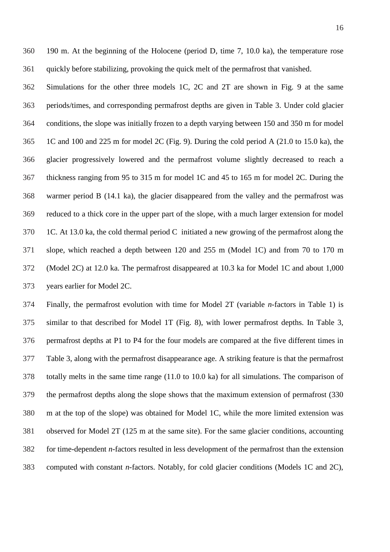Simulations for the other three models 1C, 2C and 2T are shown in Fig. 9 at the same periods/times, and corresponding permafrost depths are given in Table 3. Under cold glacier conditions, the slope was initially frozen to a depth varying between 150 and 350 m for model 1C and 100 and 225 m for model 2C (Fig. 9). During the cold period A (21.0 to 15.0 ka), the glacier progressively lowered and the permafrost volume slightly decreased to reach a thickness ranging from 95 to 315 m for model 1C and 45 to 165 m for model 2C. During the warmer period B (14.1 ka), the glacier disappeared from the valley and the permafrost was reduced to a thick core in the upper part of the slope, with a much larger extension for model 1C. At 13.0 ka, the cold thermal period C initiated a new growing of the permafrost along the slope, which reached a depth between 120 and 255 m (Model 1C) and from 70 to 170 m (Model 2C) at 12.0 ka. The permafrost disappeared at 10.3 ka for Model 1C and about 1,000 years earlier for Model 2C.

 Finally, the permafrost evolution with time for Model 2T (variable *n*-factors in Table 1) is similar to that described for Model 1T (Fig. 8), with lower permafrost depths. In Table 3, permafrost depths at P1 to P4 for the four models are compared at the five different times in Table 3, along with the permafrost disappearance age. A striking feature is that the permafrost totally melts in the same time range (11.0 to 10.0 ka) for all simulations. The comparison of the permafrost depths along the slope shows that the maximum extension of permafrost (330 m at the top of the slope) was obtained for Model 1C, while the more limited extension was observed for Model 2T (125 m at the same site). For the same glacier conditions, accounting for time-dependent *n*-factors resulted in less development of the permafrost than the extension computed with constant *n*-factors. Notably, for cold glacier conditions (Models 1C and 2C),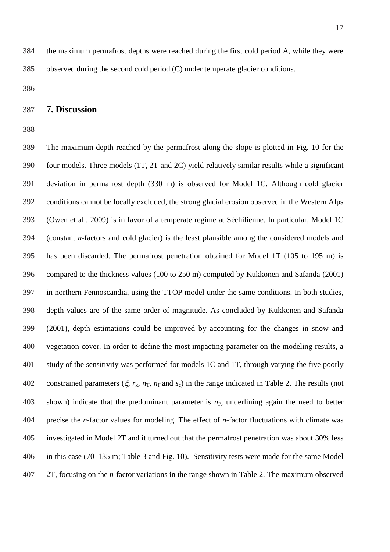## **7. Discussion**

 The maximum depth reached by the permafrost along the slope is plotted in Fig. 10 for the four models. Three models (1T, 2T and 2C) yield relatively similar results while a significant deviation in permafrost depth (330 m) is observed for Model 1C. Although cold glacier conditions cannot be locally excluded, the strong glacial erosion observed in the Western Alps (Owen et al., 2009) is in favor of a temperate regime at Séchilienne. In particular, Model 1C (constant *n*-factors and cold glacier) is the least plausible among the considered models and has been discarded. The permafrost penetration obtained for Model 1T (105 to 195 m) is compared to the thickness values (100 to 250 m) computed by Kukkonen and Safanda (2001) in northern Fennoscandia, using the TTOP model under the same conditions. In both studies, depth values are of the same order of magnitude. As concluded by Kukkonen and Safanda (2001), depth estimations could be improved by accounting for the changes in snow and vegetation cover. In order to define the most impacting parameter on the modeling results, a study of the sensitivity was performed for models 1C and 1T, through varying the five poorly 402 constrained parameters  $(\xi, r_k, n_T, n_F \text{ and } s_c)$  in the range indicated in Table 2. The results (not 403 shown) indicate that the predominant parameter is  $n_F$ , underlining again the need to better precise the *n*-factor values for modeling. The effect of *n*-factor fluctuations with climate was investigated in Model 2T and it turned out that the permafrost penetration was about 30% less in this case (70–135 m; Table 3 and Fig. 10). Sensitivity tests were made for the same Model 2T, focusing on the *n*-factor variations in the range shown in Table 2. The maximum observed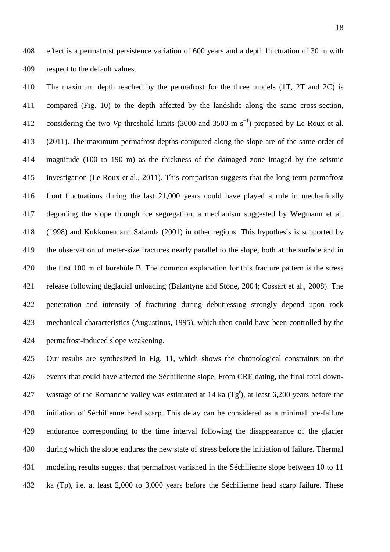effect is a permafrost persistence variation of 600 years and a depth fluctuation of 30 m with respect to the default values.

 The maximum depth reached by the permafrost for the three models (1T, 2T and 2C) is compared (Fig. 10) to the depth affected by the landslide along the same cross-section, 412 considering the two *Vp* threshold limits (3000 and 3500 m s<sup>-1</sup>) proposed by Le Roux et al. (2011). The maximum permafrost depths computed along the slope are of the same order of magnitude (100 to 190 m) as the thickness of the damaged zone imaged by the seismic investigation (Le Roux et al., 2011). This comparison suggests that the long-term permafrost front fluctuations during the last 21,000 years could have played a role in mechanically degrading the slope through ice segregation, a mechanism suggested by Wegmann et al. (1998) and Kukkonen and Safanda (2001) in other regions. This hypothesis is supported by the observation of meter-size fractures nearly parallel to the slope, both at the surface and in the first 100 m of borehole B. The common explanation for this fracture pattern is the stress release following deglacial unloading (Balantyne and Stone, 2004; Cossart et al., 2008). The penetration and intensity of fracturing during debutressing strongly depend upon rock mechanical characteristics (Augustinus, 1995), which then could have been controlled by the permafrost-induced slope weakening.

 Our results are synthesized in Fig. 11, which shows the chronological constraints on the events that could have affected the Séchilienne slope. From CRE dating, the final total down-427 wastage of the Romanche valley was estimated at 14 ka  $(Tg<sup>r</sup>)$ , at least 6,200 years before the initiation of Séchilienne head scarp. This delay can be considered as a minimal pre-failure endurance corresponding to the time interval following the disappearance of the glacier during which the slope endures the new state of stress before the initiation of failure. Thermal modeling results suggest that permafrost vanished in the Séchilienne slope between 10 to 11 ka (Tp), i.e. at least 2,000 to 3,000 years before the Séchilienne head scarp failure. These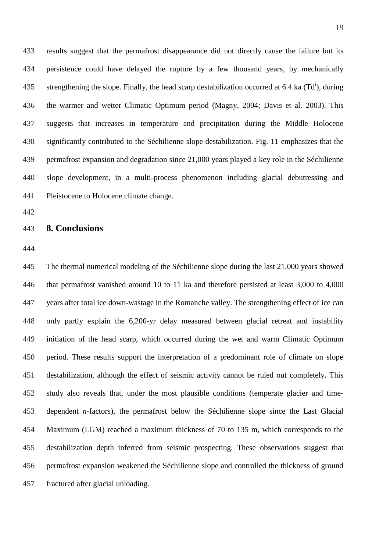results suggest that the permafrost disappearance did not directly cause the failure but its persistence could have delayed the rupture by a few thousand years, by mechanically 435 strengthening the slope. Finally, the head scarp destabilization occurred at 6.4 ka  $(Td^{i})$ , during the warmer and wetter Climatic Optimum period (Magny, 2004; Davis et al. 2003). This suggests that increases in temperature and precipitation during the Middle Holocene significantly contributed to the Séchilienne slope destabilization. Fig. 11 emphasizes that the permafrost expansion and degradation since 21,000 years played a key role in the Séchilienne slope development, in a multi-process phenomenon including glacial debutressing and Pleistocene to Holocene climate change.

## **8. Conclusions**

 The thermal numerical modeling of the Séchilienne slope during the last 21,000 years showed that permafrost vanished around 10 to 11 ka and therefore persisted at least 3,000 to 4,000 years after total ice down-wastage in the Romanche valley. The strengthening effect of ice can only partly explain the 6,200-yr delay measured between glacial retreat and instability initiation of the head scarp, which occurred during the wet and warm Climatic Optimum period. These results support the interpretation of a predominant role of climate on slope destabilization, although the effect of seismic activity cannot be ruled out completely. This study also reveals that, under the most plausible conditions (temperate glacier and time- dependent *n*-factors), the permafrost below the Séchilienne slope since the Last Glacial Maximum (LGM) reached a maximum thickness of 70 to 135 m, which corresponds to the destabilization depth inferred from seismic prospecting. These observations suggest that permafrost expansion weakened the Séchilienne slope and controlled the thickness of ground fractured after glacial unloading.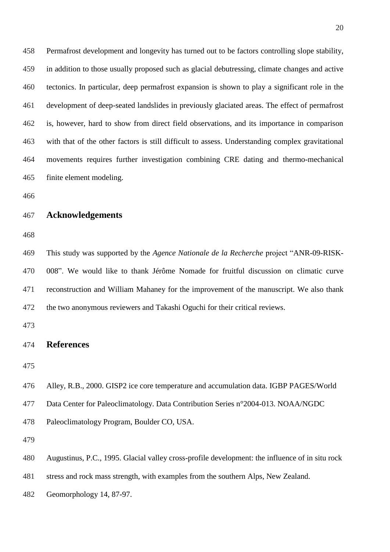Permafrost development and longevity has turned out to be factors controlling slope stability, in addition to those usually proposed such as glacial debutressing, climate changes and active tectonics. In particular, deep permafrost expansion is shown to play a significant role in the development of deep-seated landslides in previously glaciated areas. The effect of permafrost is, however, hard to show from direct field observations, and its importance in comparison with that of the other factors is still difficult to assess. Understanding complex gravitational movements requires further investigation combining CRE dating and thermo-mechanical finite element modeling.

#### **Acknowledgements**

 This study was supported by the *Agence Nationale de la Recherche* project "ANR-09-RISK- 008". We would like to thank Jérôme Nomade for fruitful discussion on climatic curve reconstruction and William Mahaney for the improvement of the manuscript. We also thank the two anonymous reviewers and Takashi Oguchi for their critical reviews.

#### **References**

Alley, R.B., 2000. GISP2 ice core temperature and accumulation data. IGBP PAGES/World

Data Center for Paleoclimatology. Data Contribution Series n°2004-013. NOAA/NGDC

Paleoclimatology Program, Boulder CO, USA.

Augustinus, P.C., 1995. Glacial valley cross-profile development: the influence of in situ rock

stress and rock mass strength, with examples from the southern Alps, New Zealand.

Geomorphology 14, 87-97.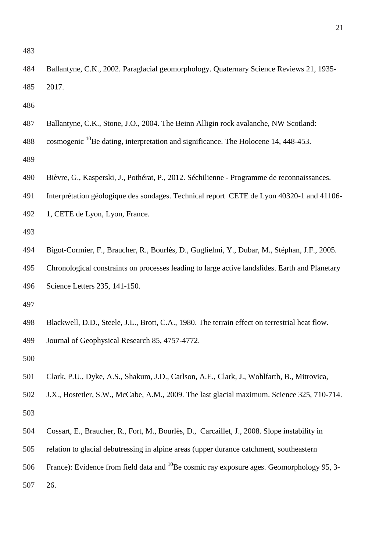| 485 | 2017.                                                                                           |
|-----|-------------------------------------------------------------------------------------------------|
| 486 |                                                                                                 |
| 487 | Ballantyne, C.K., Stone, J.O., 2004. The Beinn Alligin rock avalanche, NW Scotland:             |
| 488 | cosmogenic <sup>10</sup> Be dating, interpretation and significance. The Holocene 14, 448-453.  |
| 489 |                                                                                                 |
| 490 | Bièvre, G., Kasperski, J., Pothérat, P., 2012. Séchilienne - Programme de reconnaissances.      |
| 491 | Interprétation géologique des sondages. Technical report CETE de Lyon 40320-1 and 41106-        |
| 492 | 1, CETE de Lyon, Lyon, France.                                                                  |
| 493 |                                                                                                 |
| 494 | Bigot-Cormier, F., Braucher, R., Bourlès, D., Guglielmi, Y., Dubar, M., Stéphan, J.F., 2005.    |
| 495 | Chronological constraints on processes leading to large active landslides. Earth and Planetary  |
| 496 | Science Letters 235, 141-150.                                                                   |
| 497 |                                                                                                 |
| 498 | Blackwell, D.D., Steele, J.L., Brott, C.A., 1980. The terrain effect on terrestrial heat flow.  |
| 499 | Journal of Geophysical Research 85, 4757-4772.                                                  |
| 500 |                                                                                                 |
| 501 | Clark, P.U., Dyke, A.S., Shakum, J.D., Carlson, A.E., Clark, J., Wohlfarth, B., Mitrovica,      |
| 502 | J.X., Hostetler, S.W., McCabe, A.M., 2009. The last glacial maximum. Science 325, 710-714.      |
| 503 |                                                                                                 |
| 504 | Cossart, E., Braucher, R., Fort, M., Bourlès, D., Carcaillet, J., 2008. Slope instability in    |
| 505 | relation to glacial debutressing in alpine areas (upper durance catchment, southeastern         |
| 506 | France): Evidence from field data and $^{10}$ Be cosmic ray exposure ages. Geomorphology 95, 3- |
| 507 | 26.                                                                                             |
|     |                                                                                                 |
|     |                                                                                                 |

Ballantyne, C.K., 2002. Paraglacial geomorphology. Quaternary Science Reviews 21, 1935-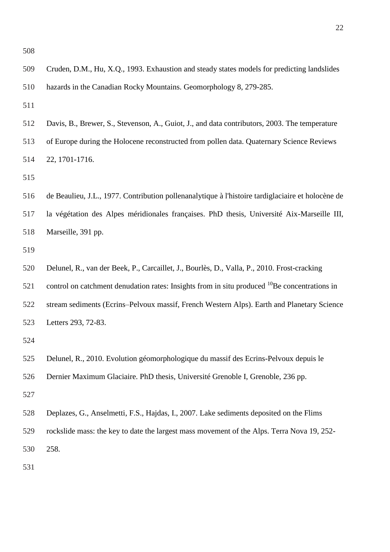| 511 |                                                                                                          |
|-----|----------------------------------------------------------------------------------------------------------|
| 512 | Davis, B., Brewer, S., Stevenson, A., Guiot, J., and data contributors, 2003. The temperature            |
| 513 | of Europe during the Holocene reconstructed from pollen data. Quaternary Science Reviews                 |
| 514 | 22, 1701-1716.                                                                                           |
| 515 |                                                                                                          |
| 516 | de Beaulieu, J.L., 1977. Contribution pollenanalytique à l'histoire tardiglaciaire et holocène de        |
| 517 | la végétation des Alpes méridionales françaises. PhD thesis, Université Aix-Marseille III,               |
| 518 | Marseille, 391 pp.                                                                                       |
| 519 |                                                                                                          |
| 520 | Delunel, R., van der Beek, P., Carcaillet, J., Bourlès, D., Valla, P., 2010. Frost-cracking              |
| 521 | control on catchment denudation rates: Insights from in situ produced <sup>10</sup> Be concentrations in |
| 522 | stream sediments (Ecrins–Pelvoux massif, French Western Alps). Earth and Planetary Science               |
| 523 | Letters 293, 72-83.                                                                                      |
| 524 |                                                                                                          |
| 525 | Delunel, R., 2010. Evolution géomorphologique du massif des Ecrins-Pelvoux depuis le                     |
| 526 | Dernier Maximum Glaciaire. PhD thesis, Université Grenoble I, Grenoble, 236 pp.                          |
| 527 |                                                                                                          |
| 528 | Deplazes, G., Anselmetti, F.S., Hajdas, I., 2007. Lake sediments deposited on the Flims                  |
| 529 | rockslide mass: the key to date the largest mass movement of the Alps. Terra Nova 19, 252-               |
| 530 | 258.                                                                                                     |
| 531 |                                                                                                          |
|     |                                                                                                          |
|     |                                                                                                          |
|     |                                                                                                          |
|     |                                                                                                          |

Cruden, D.M., Hu, X.Q., 1993. Exhaustion and steady states models for predicting landslides

hazards in the Canadian Rocky Mountains. Geomorphology 8, 279-285.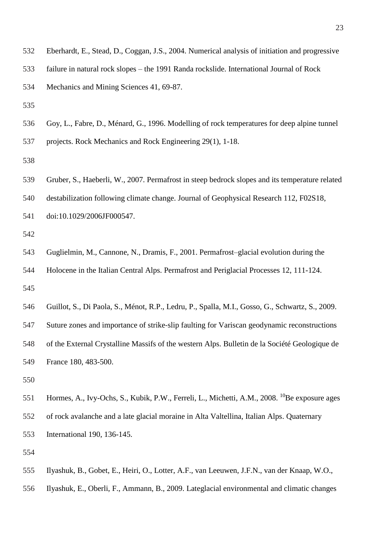- Eberhardt, E., Stead, D., Coggan, J.S., 2004. Numerical analysis of initiation and progressive failure in natural rock slopes – the 1991 Randa rockslide. International Journal of Rock Mechanics and Mining Sciences 41, 69-87.
- 
- Goy, L., Fabre, D., Ménard, G., 1996. Modelling of rock temperatures for deep alpine tunnel

projects. Rock Mechanics and Rock Engineering 29(1), 1-18.

 Gruber, S., Haeberli, W., 2007. Permafrost in steep bedrock slopes and its temperature related destabilization following climate change. Journal of Geophysical Research 112, F02S18, doi:10.1029/2006JF000547.

- Guglielmin, M., Cannone, N., Dramis, F., 2001. Permafrost–glacial evolution during the Holocene in the Italian Central Alps. Permafrost and Periglacial Processes 12, 111-124.
- Guillot, S., Di Paola, S., Ménot, R.P., Ledru, P., Spalla, M.I., Gosso, G., Schwartz, S., 2009.

 Suture zones and importance of strike‐slip faulting for Variscan geodynamic reconstructions of the External Crystalline Massifs of the western Alps. Bulletin de la Société Geologique de France 180, 483-500.

551 Hormes, A., Ivy-Ochs, S., Kubik, P.W., Ferreli, L., Michetti, A.M., 2008. <sup>10</sup>Be exposure ages of rock avalanche and a late glacial moraine in Alta Valtellina, Italian Alps. Quaternary International 190, 136-145.

- Ilyashuk, B., Gobet, E., Heiri, O., Lotter, A.F., van Leeuwen, J.F.N., van der Knaap, W.O.,
- Ilyashuk, E., Oberli, F., Ammann, B., 2009. Lateglacial environmental and climatic changes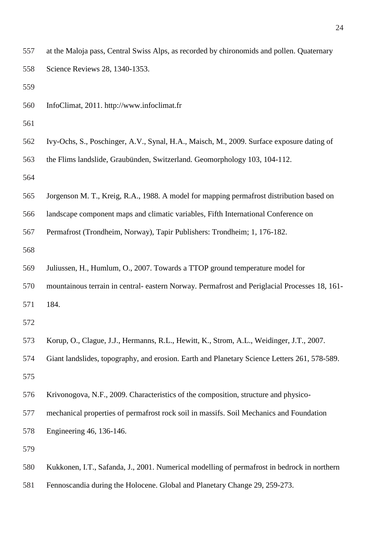| 557 | at the Maloja pass, Central Swiss Alps, as recorded by chironomids and pollen. Quaternary     |
|-----|-----------------------------------------------------------------------------------------------|
| 558 | Science Reviews 28, 1340-1353.                                                                |
| 559 |                                                                                               |
| 560 | InfoClimat, 2011. http://www.infoclimat.fr                                                    |
| 561 |                                                                                               |
| 562 | Ivy-Ochs, S., Poschinger, A.V., Synal, H.A., Maisch, M., 2009. Surface exposure dating of     |
| 563 | the Flims landslide, Graubünden, Switzerland. Geomorphology 103, 104-112.                     |
| 564 |                                                                                               |
| 565 | Jorgenson M. T., Kreig, R.A., 1988. A model for mapping permafrost distribution based on      |
| 566 | landscape component maps and climatic variables, Fifth International Conference on            |
| 567 | Permafrost (Trondheim, Norway), Tapir Publishers: Trondheim; 1, 176-182.                      |
| 568 |                                                                                               |
| 569 | Juliussen, H., Humlum, O., 2007. Towards a TTOP ground temperature model for                  |
| 570 | mountainous terrain in central- eastern Norway. Permafrost and Periglacial Processes 18, 161- |
| 571 | 184.                                                                                          |
| 572 |                                                                                               |
| 573 | Korup, O., Clague, J.J., Hermanns, R.L., Hewitt, K., Strom, A.L., Weidinger, J.T., 2007.      |
| 574 | Giant landslides, topography, and erosion. Earth and Planetary Science Letters 261, 578-589.  |
| 575 |                                                                                               |
| 576 | Krivonogova, N.F., 2009. Characteristics of the composition, structure and physico-           |
| 577 | mechanical properties of permafrost rock soil in massifs. Soil Mechanics and Foundation       |
| 578 | Engineering 46, 136-146.                                                                      |
| 579 |                                                                                               |
| 580 | Kukkonen, I.T., Safanda, J., 2001. Numerical modelling of permafrost in bedrock in northern   |
| 581 | Fennoscandia during the Holocene. Global and Planetary Change 29, 259-273.                    |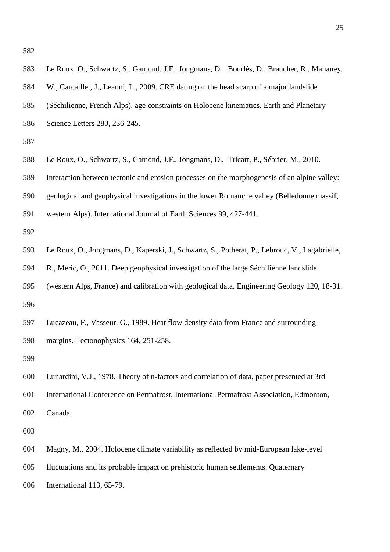| 583 | Le Roux, O., Schwartz, S., Gamond, J.F., Jongmans, D., Bourlès, D., Braucher, R., Mahaney,     |
|-----|------------------------------------------------------------------------------------------------|
| 584 | W., Carcaillet, J., Leanni, L., 2009. CRE dating on the head scarp of a major landslide        |
| 585 | (Séchilienne, French Alps), age constraints on Holocene kinematics. Earth and Planetary        |
| 586 | Science Letters 280, 236-245.                                                                  |
| 587 |                                                                                                |
| 588 | Le Roux, O., Schwartz, S., Gamond, J.F., Jongmans, D., Tricart, P., Sébrier, M., 2010.         |
| 589 | Interaction between tectonic and erosion processes on the morphogenesis of an alpine valley:   |
| 590 | geological and geophysical investigations in the lower Romanche valley (Belledonne massif,     |
| 591 | western Alps). International Journal of Earth Sciences 99, 427-441.                            |
| 592 |                                                                                                |
| 593 | Le Roux, O., Jongmans, D., Kaperski, J., Schwartz, S., Potherat, P., Lebrouc, V., Lagabrielle, |
| 594 | R., Meric, O., 2011. Deep geophysical investigation of the large Séchilienne landslide         |
| 595 | (western Alps, France) and calibration with geological data. Engineering Geology 120, 18-31.   |
| 596 |                                                                                                |
| 597 | Lucazeau, F., Vasseur, G., 1989. Heat flow density data from France and surrounding            |
| 598 | margins. Tectonophysics 164, 251-258.                                                          |
| 599 |                                                                                                |
| 600 | Lunardini, V.J., 1978. Theory of n-factors and correlation of data, paper presented at 3rd     |
| 601 | International Conference on Permafrost, International Permafrost Association, Edmonton,        |
| 602 | Canada.                                                                                        |
| 603 |                                                                                                |
| 604 | Magny, M., 2004. Holocene climate variability as reflected by mid-European lake-level          |
| 605 | fluctuations and its probable impact on prehistoric human settlements. Quaternary              |
| 606 | International 113, 65-79.                                                                      |
|     |                                                                                                |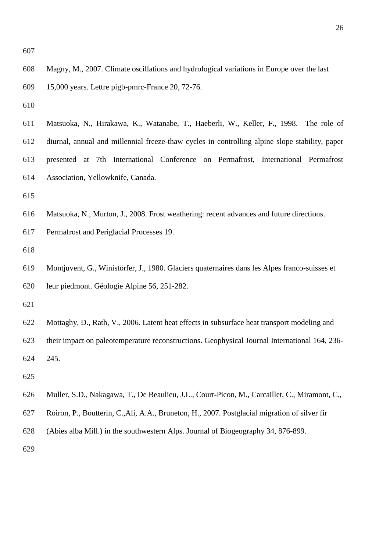| 608 | Magny, M., 2007. Climate oscillations and hydrological variations in Europe over the last      |
|-----|------------------------------------------------------------------------------------------------|
| 609 | 15,000 years. Lettre pigb-pmrc-France 20, 72-76.                                               |
| 610 |                                                                                                |
| 611 | Matsuoka, N., Hirakawa, K., Watanabe, T., Haeberli, W., Keller, F., 1998. The role of          |
| 612 | diurnal, annual and millennial freeze-thaw cycles in controlling alpine slope stability, paper |
| 613 | presented at 7th International Conference on Permafrost, International Permafrost              |
| 614 | Association, Yellowknife, Canada.                                                              |
| 615 |                                                                                                |
| 616 | Matsuoka, N., Murton, J., 2008. Frost weathering: recent advances and future directions.       |
| 617 | Permafrost and Periglacial Processes 19.                                                       |
| 618 |                                                                                                |
| 619 | Montjuvent, G., Winistörfer, J., 1980. Glaciers quaternaires dans les Alpes franco-suisses et  |
| 620 | leur piedmont. Géologie Alpine 56, 251-282.                                                    |
| 621 |                                                                                                |
| 622 | Mottaghy, D., Rath, V., 2006. Latent heat effects in subsurface heat transport modeling and    |
| 623 | their impact on paleotemperature reconstructions. Geophysical Journal International 164, 236-  |
| 624 | 245.                                                                                           |
| 625 |                                                                                                |
| 626 | Muller, S.D., Nakagawa, T., De Beaulieu, J.L., Court-Picon, M., Carcaillet, C., Miramont, C.,  |
| 627 | Roiron, P., Boutterin, C., Ali, A.A., Bruneton, H., 2007. Postglacial migration of silver fir  |
| 628 | (Abies alba Mill.) in the southwestern Alps. Journal of Biogeography 34, 876-899.              |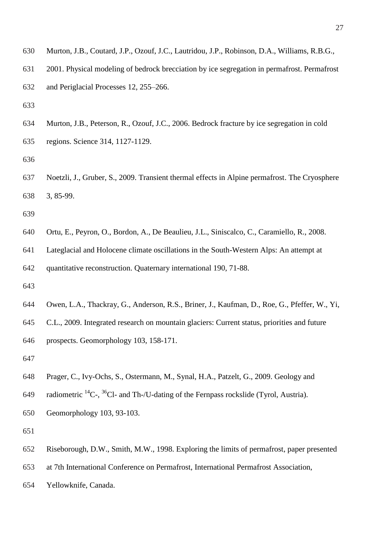- Murton, J.B., Coutard, J.P., Ozouf, J.C., Lautridou, J.P., Robinson, D.A., Williams, R.B.G.,
- 2001. Physical modeling of bedrock brecciation by ice segregation in permafrost. Permafrost
- and Periglacial Processes 12, 255–266.
- 
- Murton, J.B., Peterson, R., Ozouf, J.C., 2006. Bedrock fracture by ice segregation in cold regions. Science 314, 1127-1129.
- 
- Noetzli, J., Gruber, S., 2009. Transient thermal effects in Alpine permafrost. The Cryosphere 3, 85-99.
- 
- Ortu, E., Peyron, O., Bordon, A., De Beaulieu, J.L., Siniscalco, C., Caramiello, R., 2008.
- Lateglacial and Holocene climate oscillations in the South-Western Alps: An attempt at

quantitative reconstruction. Quaternary international 190, 71-88.

- 
- Owen, L.A., Thackray, G., Anderson, R.S., Briner, J., Kaufman, D., Roe, G., Pfeffer, W., Yi,
- C.L., 2009. Integrated research on mountain glaciers: Current status, priorities and future

prospects. Geomorphology 103, 158-171.

- 
- Prager, C., Ivy-Ochs, S., Ostermann, M., Synal, H.A., Patzelt, G., 2009. Geology and
- 649 radiometric  ${}^{14}C$ ,  ${}^{36}Cl$  and Th-/U-dating of the Fernpass rockslide (Tyrol, Austria).
- Geomorphology 103, 93-103.
- 
- Riseborough, D.W., Smith, M.W., 1998. Exploring the limits of permafrost, paper presented
- at 7th International Conference on Permafrost, International Permafrost Association,
- Yellowknife, Canada.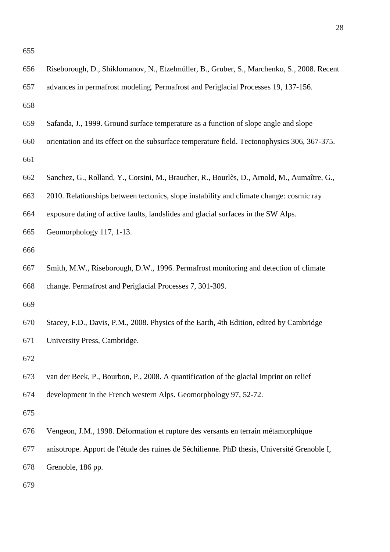| 656 | Riseborough, D., Shiklomanov, N., Etzelmüller, B., Gruber, S., Marchenko, S., 2008. Recent   |
|-----|----------------------------------------------------------------------------------------------|
| 657 | advances in permafrost modeling. Permafrost and Periglacial Processes 19, 137-156.           |
| 658 |                                                                                              |
| 659 | Safanda, J., 1999. Ground surface temperature as a function of slope angle and slope         |
| 660 | orientation and its effect on the subsurface temperature field. Tectonophysics 306, 367-375. |
| 661 |                                                                                              |
| 662 | Sanchez, G., Rolland, Y., Corsini, M., Braucher, R., Bourlès, D., Arnold, M., Aumaître, G.,  |
| 663 | 2010. Relationships between tectonics, slope instability and climate change: cosmic ray      |
| 664 | exposure dating of active faults, landslides and glacial surfaces in the SW Alps.            |
| 665 | Geomorphology 117, 1-13.                                                                     |
| 666 |                                                                                              |
| 667 | Smith, M.W., Riseborough, D.W., 1996. Permafrost monitoring and detection of climate         |
| 668 | change. Permafrost and Periglacial Processes 7, 301-309.                                     |
| 669 |                                                                                              |
| 670 | Stacey, F.D., Davis, P.M., 2008. Physics of the Earth, 4th Edition, edited by Cambridge      |
| 671 | University Press, Cambridge.                                                                 |
| 672 |                                                                                              |
| 673 | van der Beek, P., Bourbon, P., 2008. A quantification of the glacial imprint on relief       |
| 674 | development in the French western Alps. Geomorphology 97, 52-72.                             |
| 675 |                                                                                              |
| 676 | Vengeon, J.M., 1998. Déformation et rupture des versants en terrain métamorphique            |
| 677 | anisotrope. Apport de l'étude des ruines de Séchilienne. PhD thesis, Université Grenoble I,  |
| 678 | Grenoble, 186 pp.                                                                            |
| 679 |                                                                                              |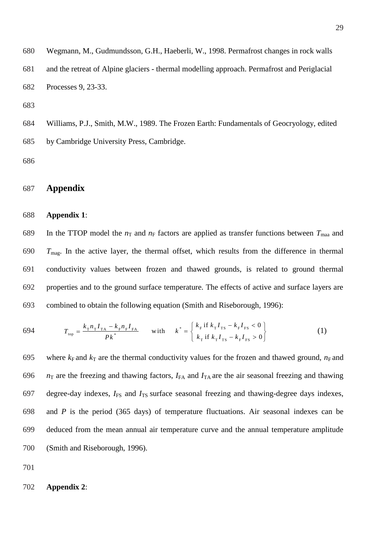680 Wegmann, M., Gudmundsson, G.H., Haeberli, W., 1998. Permafrost changes in rock walls 681 and the retreat of Alpine glaciers - thermal modelling approach. Permafrost and Periglacial 682 Processes 9, 23-33.

683

684 Williams, P.J., Smith, M.W., 1989. The Frozen Earth: Fundamentals of Geocryology, edited 685 by Cambridge University Press, Cambridge.

686

## 687 **Appendix**

#### 688 **Appendix 1**:

689 In the TTOP model the  $n<sub>T</sub>$  and  $n<sub>F</sub>$  factors are applied as transfer functions between  $T<sub>maa</sub>$  and *T*mag. In the active layer, the thermal offset, which results from the difference in thermal conductivity values between frozen and thawed grounds, is related to ground thermal properties and to the ground surface temperature. The effects of active and surface layers are combined to obtain the following equation (Smith and Riseborough, 1996):

694 
$$
T_{\text{top}} = \frac{k_{\text{T}} n_{\text{T}} I_{\text{T}A} - k_{\text{F}} n_{\text{F}} I_{\text{FA}}}{P k^*}
$$
 with 
$$
k^* = \begin{cases} k_{\text{F}} & \text{if } k_{\text{T}} I_{\text{TS}} - k_{\text{F}} I_{\text{FS}} < 0 \\ k_{\text{T}} & \text{if } k_{\text{T}} I_{\text{TS}} - k_{\text{F}} I_{\text{FS}} > 0 \end{cases}
$$
 (1)

695 where  $k_F$  and  $k_T$  are the thermal conductivity values for the frozen and thawed ground,  $n_F$  and  $n_T$  are the freezing and thawing factors,  $I_{FA}$  and  $I_{TA}$  are the air seasonal freezing and thawing 697 degree-day indexes,  $I_{FS}$  and  $I_{TS}$  surface seasonal freezing and thawing-degree days indexes, and *P* is the period (365 days) of temperature fluctuations. Air seasonal indexes can be deduced from the mean annual air temperature curve and the annual temperature amplitude (Smith and Riseborough, 1996).

701

#### 702 **Appendix 2**: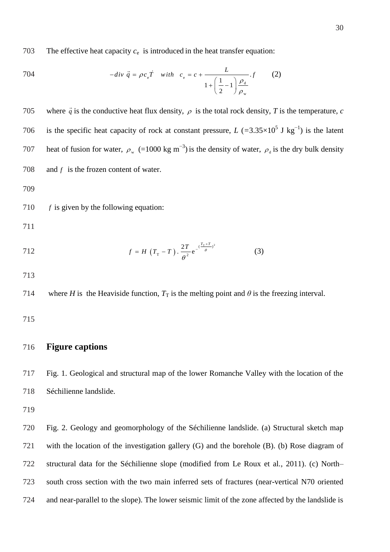703 The effective heat capacity  $c_e$  is introduced in the heat transfer equation:

704 
$$
-div \ \vec{q} = \rho c_e \vec{T} \quad with \quad c_e = c + \frac{L}{1 + \left(\frac{1}{2} - 1\right) \frac{\rho_d}{\rho_w}}.f \tag{2}
$$

705 where  $\vec{q}$  is the conductive heat flux density,  $\rho$  is the total rock density, T is the temperature, *c* 706 is the specific heat capacity of rock at constant pressure, *L* ( $=3.35\times10^5$  J kg<sup>-1</sup>) is the latent heat of fusion for water,  $\rho_w$  (=1000 kg m<sup>-3</sup>) is the density of water,  $\rho_d$  is the dry bulk density 707 708 *f* is the frozen content of water.

709

710 *f* is given by the following equation:

711

712 
$$
f = H(T_{\text{T}} - T) \cdot \frac{2T}{\theta^2} e^{-\frac{(T_{\text{T}} + T)^2}{\theta}}
$$
 (3)

713

714 where *H* is the Heaviside function,  $T_T$  is the melting point and  $\theta$  is the freezing interval.

715

## 716 **Figure captions**

717 Fig. 1. Geological and structural map of the lower Romanche Valley with the location of the 718 Séchilienne landslide.

719

 Fig. 2. Geology and geomorphology of the Séchilienne landslide. (a) Structural sketch map with the location of the investigation gallery (G) and the borehole (B). (b) Rose diagram of structural data for the Séchilienne slope (modified from Le Roux et al., 2011). (c) North– south cross section with the two main inferred sets of fractures (near-vertical N70 oriented and near-parallel to the slope). The lower seismic limit of the zone affected by the landslide is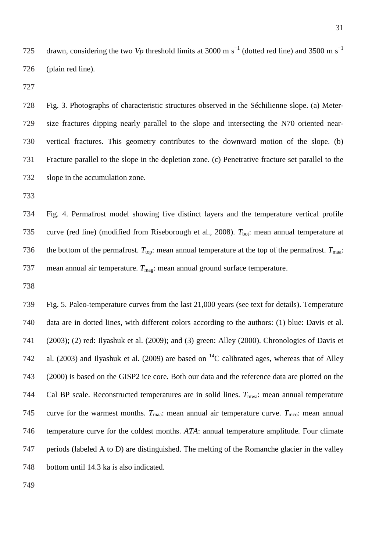drawn, considering the two *Vp* threshold limits at 3000 m s<sup> $^{-1}$ </sup> (dotted red line) and 3500 m s<sup> $^{-1}$ </sup> (plain red line).

 Fig. 3. Photographs of characteristic structures observed in the Séchilienne slope. (a) Meter- size fractures dipping nearly parallel to the slope and intersecting the N70 oriented near- vertical fractures. This geometry contributes to the downward motion of the slope. (b) Fracture parallel to the slope in the depletion zone. (c) Penetrative fracture set parallel to the slope in the accumulation zone.

 Fig. 4. Permafrost model showing five distinct layers and the temperature vertical profile 735 curve (red line) (modified from Riseborough et al., 2008).  $T_{\text{bot}}$ : mean annual temperature at 736 the bottom of the permafrost.  $T_{\text{top}}$ : mean annual temperature at the top of the permafrost.  $T_{\text{max}}$ : 737 mean annual air temperature. *T*<sub>mag</sub>: mean annual ground surface temperature.

 Fig. 5. Paleo-temperature curves from the last 21,000 years (see text for details). Temperature data are in dotted lines, with different colors according to the authors: (1) blue: Davis et al. (2003); (2) red: Ilyashuk et al. (2009); and (3) green: Alley (2000). Chronologies of Davis et 742 al. (2003) and Ilyashuk et al. (2009) are based on  ${}^{14}C$  calibrated ages, whereas that of Alley (2000) is based on the GISP2 ice core. Both our data and the reference data are plotted on the 744 Cal BP scale. Reconstructed temperatures are in solid lines.  $T_{\text{mwa}}$ : mean annual temperature 745 curve for the warmest months.  $T_{\text{maa}}$ : mean annual air temperature curve.  $T_{\text{mco}}$ : mean annual temperature curve for the coldest months. *ATA*: annual temperature amplitude. Four climate periods (labeled A to D) are distinguished. The melting of the Romanche glacier in the valley bottom until 14.3 ka is also indicated.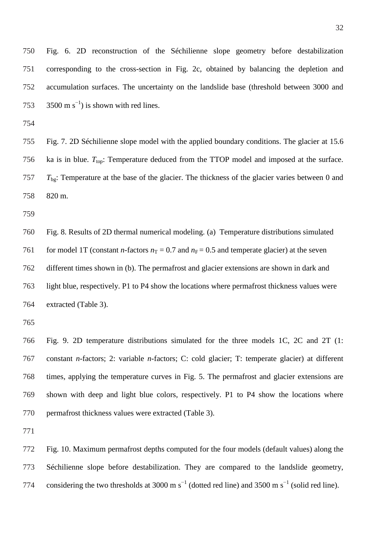Fig. 6. 2D reconstruction of the Séchilienne slope geometry before destabilization corresponding to the cross-section in Fig. 2c, obtained by balancing the depletion and accumulation surfaces. The uncertainty on the landslide base (threshold between 3000 and 753 3500 m s<sup>-1</sup>) is shown with red lines.

 Fig. 7. 2D Séchilienne slope model with the applied boundary conditions. The glacier at 15.6 756 ka is in blue.  $T_{top}$ : Temperature deduced from the TTOP model and imposed at the surface. *T*bg: Temperature at the base of the glacier. The thickness of the glacier varies between 0 and 820 m.

 Fig. 8. Results of 2D thermal numerical modeling. (a) Temperature distributions simulated 761 for model 1T (constant *n*-factors  $n_T = 0.7$  and  $n_F = 0.5$  and temperate glacier) at the seven different times shown in (b). The permafrost and glacier extensions are shown in dark and light blue, respectively. P1 to P4 show the locations where permafrost thickness values were extracted (Table 3).

 Fig. 9. 2D temperature distributions simulated for the three models 1C, 2C and 2T (1: constant *n*-factors; 2: variable *n*-factors; C: cold glacier; T: temperate glacier) at different times, applying the temperature curves in Fig. 5. The permafrost and glacier extensions are shown with deep and light blue colors, respectively. P1 to P4 show the locations where permafrost thickness values were extracted (Table 3).

 Fig. 10. Maximum permafrost depths computed for the four models (default values) along the Séchilienne slope before destabilization. They are compared to the landslide geometry, 774 considering the two thresholds at 3000 m  $s^{-1}$  (dotted red line) and 3500 m  $s^{-1}$  (solid red line).